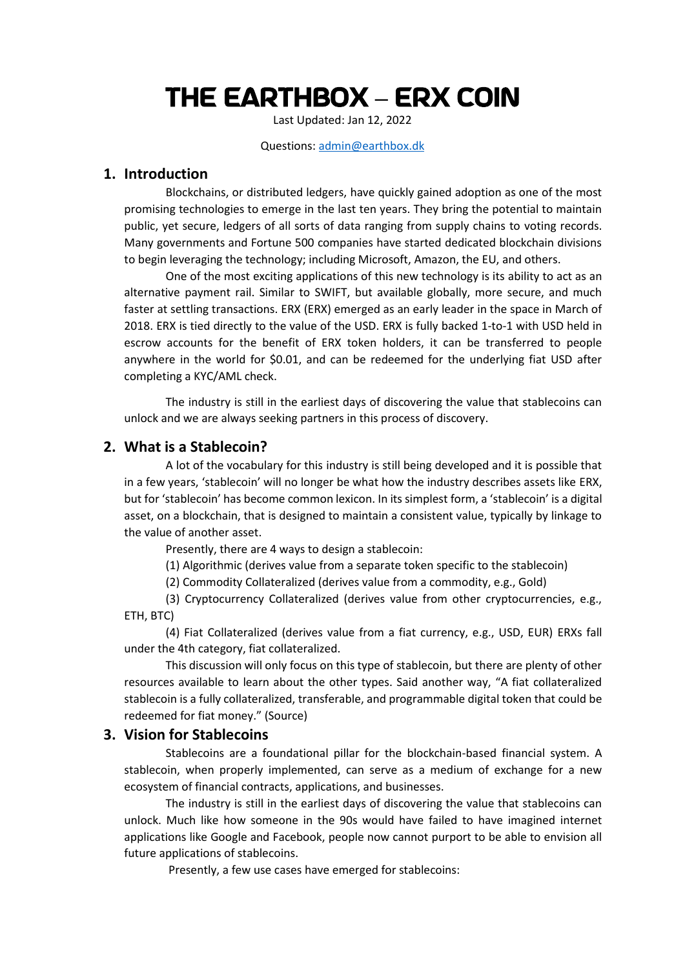# THE EARTHBOX **–** ERX COIN

Last Updated: Jan 12, 2022

#### Questions: [admin@earthbox.dk](mailto:admin@earthbox.dk)

#### **1. Introduction**

Blockchains, or distributed ledgers, have quickly gained adoption as one of the most promising technologies to emerge in the last ten years. They bring the potential to maintain public, yet secure, ledgers of all sorts of data ranging from supply chains to voting records. Many governments and Fortune 500 companies have started dedicated blockchain divisions to begin leveraging the technology; including Microsoft, Amazon, the EU, and others.

One of the most exciting applications of this new technology is its ability to act as an alternative payment rail. Similar to SWIFT, but available globally, more secure, and much faster at settling transactions. ERX (ERX) emerged as an early leader in the space in March of 2018. ERX is tied directly to the value of the USD. ERX is fully backed 1-to-1 with USD held in escrow accounts for the benefit of ERX token holders, it can be transferred to people anywhere in the world for \$0.01, and can be redeemed for the underlying fiat USD after completing a KYC/AML check.

The industry is still in the earliest days of discovering the value that stablecoins can unlock and we are always seeking partners in this process of discovery.

#### **2. What is a Stablecoin?**

A lot of the vocabulary for this industry is still being developed and it is possible that in a few years, 'stablecoin' will no longer be what how the industry describes assets like ERX, but for 'stablecoin' has become common lexicon. In its simplest form, a 'stablecoin' is a digital asset, on a blockchain, that is designed to maintain a consistent value, typically by linkage to the value of another asset.

Presently, there are 4 ways to design a stablecoin:

(1) Algorithmic (derives value from a separate token specific to the stablecoin)

(2) Commodity Collateralized (derives value from a commodity, e.g., Gold)

(3) Cryptocurrency Collateralized (derives value from other cryptocurrencies, e.g., ETH, BTC)

(4) Fiat Collateralized (derives value from a fiat currency, e.g., USD, EUR) ERXs fall under the 4th category, fiat collateralized.

This discussion will only focus on this type of stablecoin, but there are plenty of other resources available to learn about the other types. Said another way, "A fiat collateralized stablecoin is a fully collateralized, transferable, and programmable digital token that could be redeemed for fiat money." (Source)

#### **3. Vision for Stablecoins**

Stablecoins are a foundational pillar for the blockchain-based financial system. A stablecoin, when properly implemented, can serve as a medium of exchange for a new ecosystem of financial contracts, applications, and businesses.

The industry is still in the earliest days of discovering the value that stablecoins can unlock. Much like how someone in the 90s would have failed to have imagined internet applications like Google and Facebook, people now cannot purport to be able to envision all future applications of stablecoins.

Presently, a few use cases have emerged for stablecoins: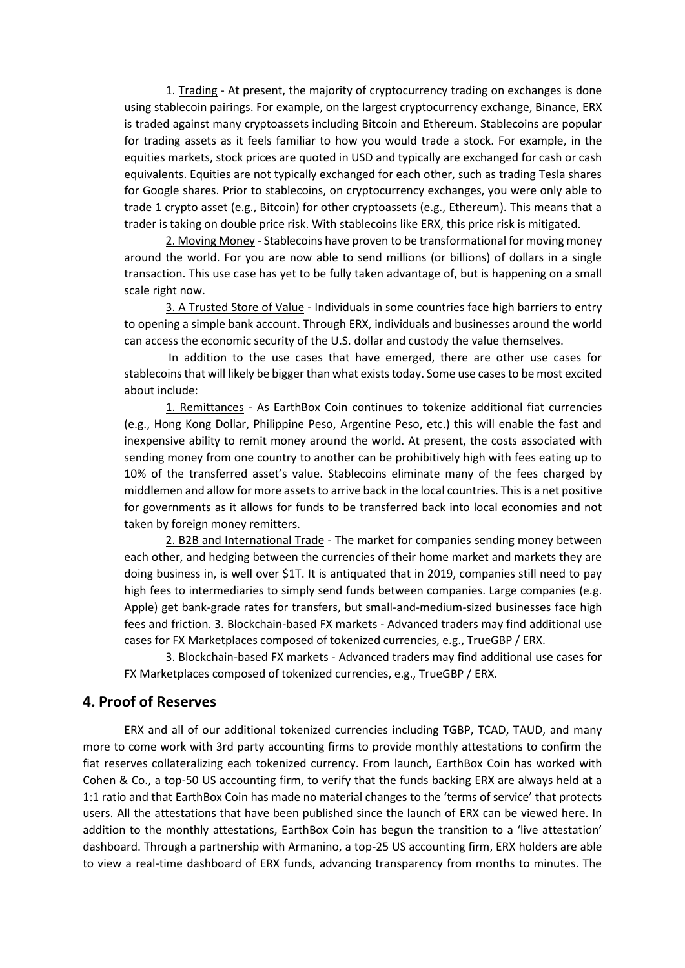1. Trading - At present, the majority of cryptocurrency trading on exchanges is done using stablecoin pairings. For example, on the largest cryptocurrency exchange, Binance, ERX is traded against many cryptoassets including Bitcoin and Ethereum. Stablecoins are popular for trading assets as it feels familiar to how you would trade a stock. For example, in the equities markets, stock prices are quoted in USD and typically are exchanged for cash or cash equivalents. Equities are not typically exchanged for each other, such as trading Tesla shares for Google shares. Prior to stablecoins, on cryptocurrency exchanges, you were only able to trade 1 crypto asset (e.g., Bitcoin) for other cryptoassets (e.g., Ethereum). This means that a trader is taking on double price risk. With stablecoins like ERX, this price risk is mitigated.

2. Moving Money - Stablecoins have proven to be transformational for moving money around the world. For you are now able to send millions (or billions) of dollars in a single transaction. This use case has yet to be fully taken advantage of, but is happening on a small scale right now.

3. A Trusted Store of Value - Individuals in some countries face high barriers to entry to opening a simple bank account. Through ERX, individuals and businesses around the world can access the economic security of the U.S. dollar and custody the value themselves.

In addition to the use cases that have emerged, there are other use cases for stablecoins that will likely be bigger than what exists today. Some use cases to be most excited about include:

1. Remittances - As EarthBox Coin continues to tokenize additional fiat currencies (e.g., Hong Kong Dollar, Philippine Peso, Argentine Peso, etc.) this will enable the fast and inexpensive ability to remit money around the world. At present, the costs associated with sending money from one country to another can be prohibitively high with fees eating up to 10% of the transferred asset's value. Stablecoins eliminate many of the fees charged by middlemen and allow for more assets to arrive back in the local countries. This is a net positive for governments as it allows for funds to be transferred back into local economies and not taken by foreign money remitters.

2. B2B and International Trade - The market for companies sending money between each other, and hedging between the currencies of their home market and markets they are doing business in, is well over \$1T. It is antiquated that in 2019, companies still need to pay high fees to intermediaries to simply send funds between companies. Large companies (e.g. Apple) get bank-grade rates for transfers, but small-and-medium-sized businesses face high fees and friction. 3. Blockchain-based FX markets - Advanced traders may find additional use cases for FX Marketplaces composed of tokenized currencies, e.g., TrueGBP / ERX.

3. Blockchain-based FX markets - Advanced traders may find additional use cases for FX Marketplaces composed of tokenized currencies, e.g., TrueGBP / ERX.

## **4. Proof of Reserves**

ERX and all of our additional tokenized currencies including TGBP, TCAD, TAUD, and many more to come work with 3rd party accounting firms to provide monthly attestations to confirm the fiat reserves collateralizing each tokenized currency. From launch, EarthBox Coin has worked with Cohen & Co., a top-50 US accounting firm, to verify that the funds backing ERX are always held at a 1:1 ratio and that EarthBox Coin has made no material changes to the 'terms of service' that protects users. All the attestations that have been published since the launch of ERX can be viewed here. In addition to the monthly attestations, EarthBox Coin has begun the transition to a 'live attestation' dashboard. Through a partnership with Armanino, a top-25 US accounting firm, ERX holders are able to view a real-time dashboard of ERX funds, advancing transparency from months to minutes. The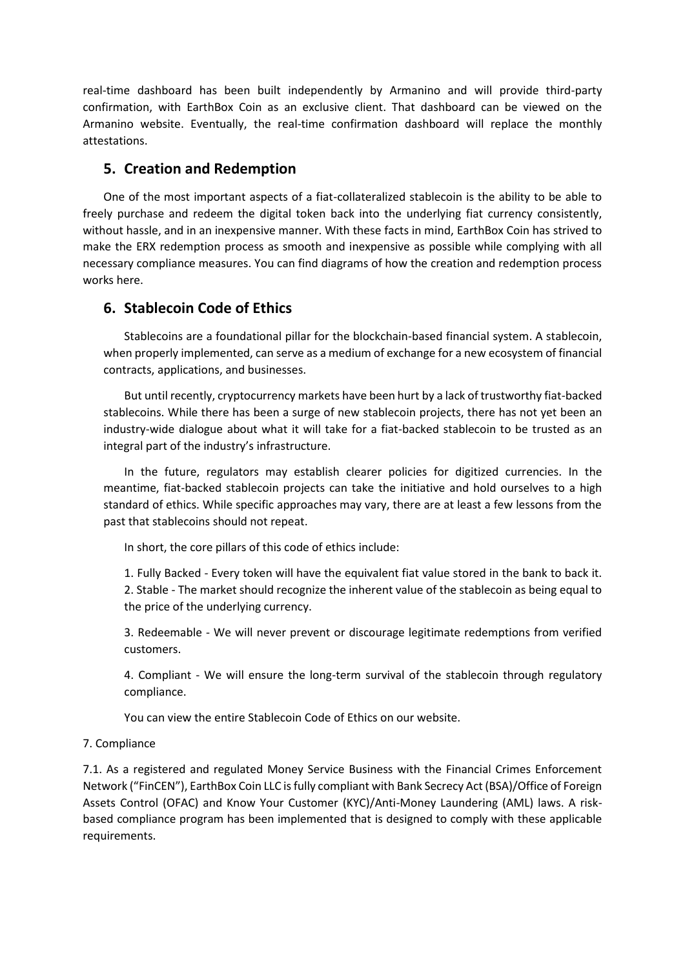real-time dashboard has been built independently by Armanino and will provide third-party confirmation, with EarthBox Coin as an exclusive client. That dashboard can be viewed on the Armanino website. Eventually, the real-time confirmation dashboard will replace the monthly attestations.

## **5. Creation and Redemption**

One of the most important aspects of a fiat-collateralized stablecoin is the ability to be able to freely purchase and redeem the digital token back into the underlying fiat currency consistently, without hassle, and in an inexpensive manner. With these facts in mind, EarthBox Coin has strived to make the ERX redemption process as smooth and inexpensive as possible while complying with all necessary compliance measures. You can find diagrams of how the creation and redemption process works here.

## **6. Stablecoin Code of Ethics**

Stablecoins are a foundational pillar for the blockchain-based financial system. A stablecoin, when properly implemented, can serve as a medium of exchange for a new ecosystem of financial contracts, applications, and businesses.

But until recently, cryptocurrency markets have been hurt by a lack of trustworthy fiat-backed stablecoins. While there has been a surge of new stablecoin projects, there has not yet been an industry-wide dialogue about what it will take for a fiat-backed stablecoin to be trusted as an integral part of the industry's infrastructure.

In the future, regulators may establish clearer policies for digitized currencies. In the meantime, fiat-backed stablecoin projects can take the initiative and hold ourselves to a high standard of ethics. While specific approaches may vary, there are at least a few lessons from the past that stablecoins should not repeat.

In short, the core pillars of this code of ethics include:

1. Fully Backed - Every token will have the equivalent fiat value stored in the bank to back it. 2. Stable - The market should recognize the inherent value of the stablecoin as being equal to the price of the underlying currency.

3. Redeemable - We will never prevent or discourage legitimate redemptions from verified customers.

4. Compliant - We will ensure the long-term survival of the stablecoin through regulatory compliance.

You can view the entire Stablecoin Code of Ethics on our website.

#### 7. Compliance

7.1. As a registered and regulated Money Service Business with the Financial Crimes Enforcement Network ("FinCEN"), EarthBox Coin LLC is fully compliant with Bank Secrecy Act (BSA)/Office of Foreign Assets Control (OFAC) and Know Your Customer (KYC)/Anti-Money Laundering (AML) laws. A riskbased compliance program has been implemented that is designed to comply with these applicable requirements.